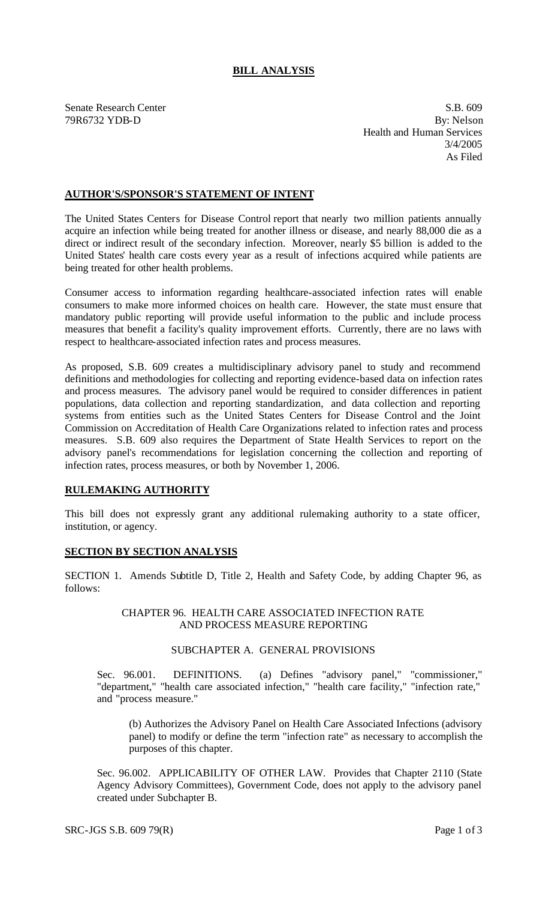# **BILL ANALYSIS**

Senate Research Center S.B. 609 79R6732 YDB-D By: Nelson Health and Human Services 3/4/2005 As Filed

## **AUTHOR'S/SPONSOR'S STATEMENT OF INTENT**

The United States Centers for Disease Control report that nearly two million patients annually acquire an infection while being treated for another illness or disease, and nearly 88,000 die as a direct or indirect result of the secondary infection. Moreover, nearly \$5 billion is added to the United States' health care costs every year as a result of infections acquired while patients are being treated for other health problems.

Consumer access to information regarding healthcare-associated infection rates will enable consumers to make more informed choices on health care. However, the state must ensure that mandatory public reporting will provide useful information to the public and include process measures that benefit a facility's quality improvement efforts. Currently, there are no laws with respect to healthcare-associated infection rates and process measures.

As proposed, S.B. 609 creates a multidisciplinary advisory panel to study and recommend definitions and methodologies for collecting and reporting evidence-based data on infection rates and process measures. The advisory panel would be required to consider differences in patient populations, data collection and reporting standardization, and data collection and reporting systems from entities such as the United States Centers for Disease Control and the Joint Commission on Accreditation of Health Care Organizations related to infection rates and process measures. S.B. 609 also requires the Department of State Health Services to report on the advisory panel's recommendations for legislation concerning the collection and reporting of infection rates, process measures, or both by November 1, 2006.

#### **RULEMAKING AUTHORITY**

This bill does not expressly grant any additional rulemaking authority to a state officer, institution, or agency.

## **SECTION BY SECTION ANALYSIS**

SECTION 1. Amends Subtitle D, Title 2, Health and Safety Code, by adding Chapter 96, as follows:

> CHAPTER 96. HEALTH CARE ASSOCIATED INFECTION RATE AND PROCESS MEASURE REPORTING

#### SUBCHAPTER A. GENERAL PROVISIONS

Sec. 96.001. DEFINITIONS. (a) Defines "advisory panel," "commissioner," "department," "health care associated infection," "health care facility," "infection rate," and "process measure."

(b) Authorizes the Advisory Panel on Health Care Associated Infections (advisory panel) to modify or define the term "infection rate" as necessary to accomplish the purposes of this chapter.

Sec. 96.002. APPLICABILITY OF OTHER LAW. Provides that Chapter 2110 (State Agency Advisory Committees), Government Code, does not apply to the advisory panel created under Subchapter B.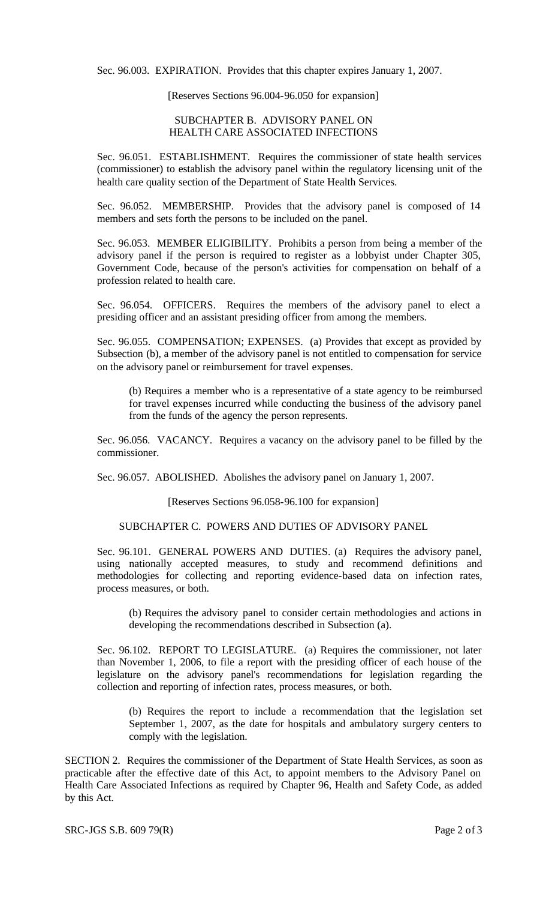Sec. 96.003. EXPIRATION. Provides that this chapter expires January 1, 2007.

[Reserves Sections 96.004-96.050 for expansion]

#### SUBCHAPTER B. ADVISORY PANEL ON HEALTH CARE ASSOCIATED INFECTIONS

Sec. 96.051. ESTABLISHMENT. Requires the commissioner of state health services (commissioner) to establish the advisory panel within the regulatory licensing unit of the health care quality section of the Department of State Health Services.

Sec. 96.052. MEMBERSHIP. Provides that the advisory panel is composed of 14 members and sets forth the persons to be included on the panel.

Sec. 96.053. MEMBER ELIGIBILITY. Prohibits a person from being a member of the advisory panel if the person is required to register as a lobbyist under Chapter 305, Government Code, because of the person's activities for compensation on behalf of a profession related to health care.

Sec. 96.054. OFFICERS. Requires the members of the advisory panel to elect a presiding officer and an assistant presiding officer from among the members.

Sec. 96.055. COMPENSATION; EXPENSES. (a) Provides that except as provided by Subsection (b), a member of the advisory panel is not entitled to compensation for service on the advisory panel or reimbursement for travel expenses.

(b) Requires a member who is a representative of a state agency to be reimbursed for travel expenses incurred while conducting the business of the advisory panel from the funds of the agency the person represents.

Sec. 96.056. VACANCY. Requires a vacancy on the advisory panel to be filled by the commissioner.

Sec. 96.057. ABOLISHED. Abolishes the advisory panel on January 1, 2007.

[Reserves Sections 96.058-96.100 for expansion]

## SUBCHAPTER C. POWERS AND DUTIES OF ADVISORY PANEL

Sec. 96.101. GENERAL POWERS AND DUTIES. (a) Requires the advisory panel, using nationally accepted measures, to study and recommend definitions and methodologies for collecting and reporting evidence-based data on infection rates, process measures, or both.

(b) Requires the advisory panel to consider certain methodologies and actions in developing the recommendations described in Subsection (a).

Sec. 96.102. REPORT TO LEGISLATURE. (a) Requires the commissioner, not later than November 1, 2006, to file a report with the presiding officer of each house of the legislature on the advisory panel's recommendations for legislation regarding the collection and reporting of infection rates, process measures, or both.

(b) Requires the report to include a recommendation that the legislation set September 1, 2007, as the date for hospitals and ambulatory surgery centers to comply with the legislation.

SECTION 2. Requires the commissioner of the Department of State Health Services, as soon as practicable after the effective date of this Act, to appoint members to the Advisory Panel on Health Care Associated Infections as required by Chapter 96, Health and Safety Code, as added by this Act.